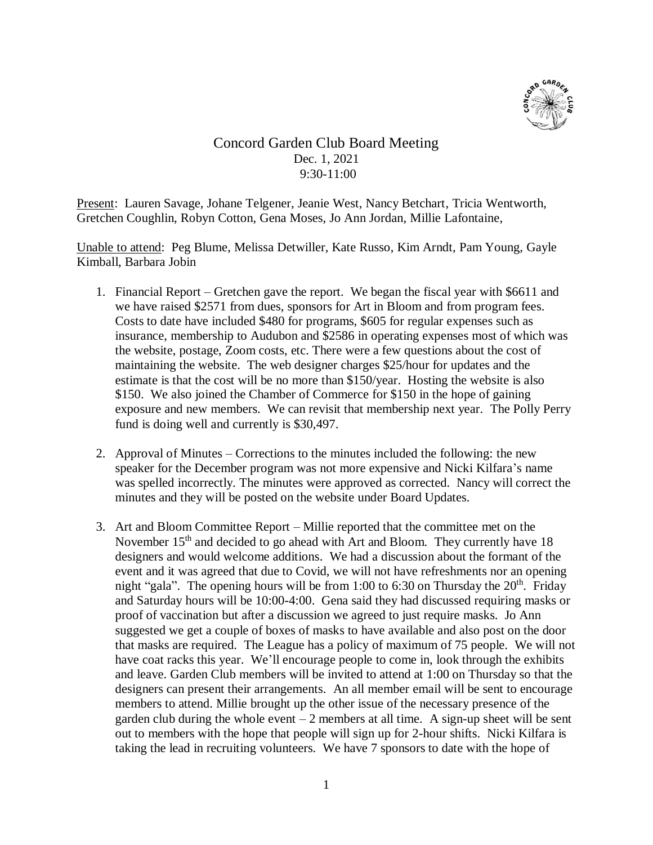

## Concord Garden Club Board Meeting Dec. 1, 2021 9:30-11:00

Present: Lauren Savage, Johane Telgener, Jeanie West, Nancy Betchart, Tricia Wentworth, Gretchen Coughlin, Robyn Cotton, Gena Moses, Jo Ann Jordan, Millie Lafontaine,

Unable to attend: Peg Blume, Melissa Detwiller, Kate Russo, Kim Arndt, Pam Young, Gayle Kimball, Barbara Jobin

- 1. Financial Report Gretchen gave the report. We began the fiscal year with \$6611 and we have raised \$2571 from dues, sponsors for Art in Bloom and from program fees. Costs to date have included \$480 for programs, \$605 for regular expenses such as insurance, membership to Audubon and \$2586 in operating expenses most of which was the website, postage, Zoom costs, etc. There were a few questions about the cost of maintaining the website. The web designer charges \$25/hour for updates and the estimate is that the cost will be no more than \$150/year. Hosting the website is also \$150. We also joined the Chamber of Commerce for \$150 in the hope of gaining exposure and new members. We can revisit that membership next year. The Polly Perry fund is doing well and currently is \$30,497.
- 2. Approval of Minutes Corrections to the minutes included the following: the new speaker for the December program was not more expensive and Nicki Kilfara's name was spelled incorrectly. The minutes were approved as corrected. Nancy will correct the minutes and they will be posted on the website under Board Updates.
- 3. Art and Bloom Committee Report Millie reported that the committee met on the November  $15<sup>th</sup>$  and decided to go ahead with Art and Bloom. They currently have 18 designers and would welcome additions. We had a discussion about the formant of the event and it was agreed that due to Covid, we will not have refreshments nor an opening night "gala". The opening hours will be from 1:00 to 6:30 on Thursday the  $20<sup>th</sup>$ . Friday and Saturday hours will be 10:00-4:00. Gena said they had discussed requiring masks or proof of vaccination but after a discussion we agreed to just require masks. Jo Ann suggested we get a couple of boxes of masks to have available and also post on the door that masks are required. The League has a policy of maximum of 75 people. We will not have coat racks this year. We'll encourage people to come in, look through the exhibits and leave. Garden Club members will be invited to attend at 1:00 on Thursday so that the designers can present their arrangements. An all member email will be sent to encourage members to attend. Millie brought up the other issue of the necessary presence of the garden club during the whole event  $-2$  members at all time. A sign-up sheet will be sent out to members with the hope that people will sign up for 2-hour shifts. Nicki Kilfara is taking the lead in recruiting volunteers. We have 7 sponsors to date with the hope of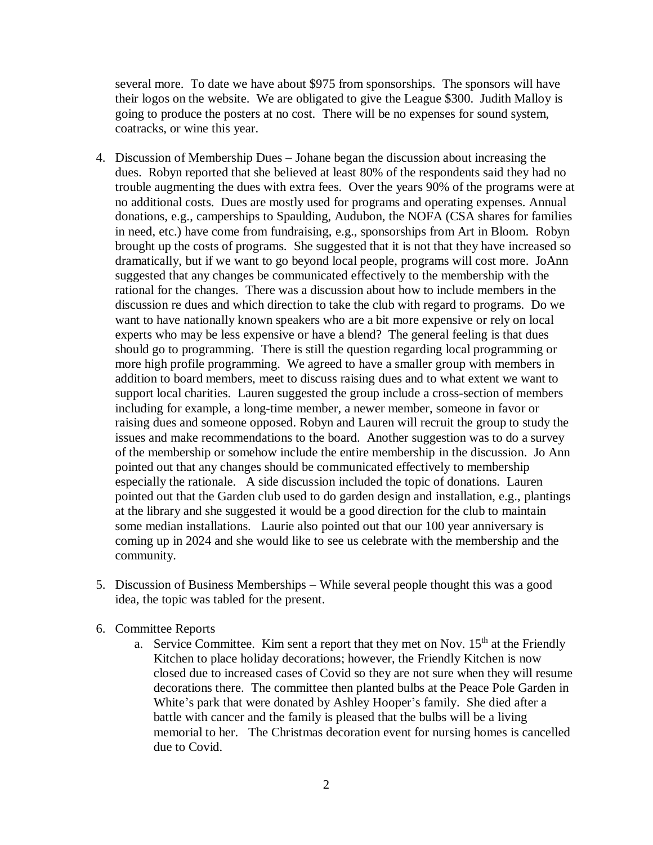several more. To date we have about \$975 from sponsorships. The sponsors will have their logos on the website. We are obligated to give the League \$300. Judith Malloy is going to produce the posters at no cost. There will be no expenses for sound system, coatracks, or wine this year.

- 4. Discussion of Membership Dues Johane began the discussion about increasing the dues. Robyn reported that she believed at least 80% of the respondents said they had no trouble augmenting the dues with extra fees. Over the years 90% of the programs were at no additional costs. Dues are mostly used for programs and operating expenses. Annual donations, e.g., camperships to Spaulding, Audubon, the NOFA (CSA shares for families in need, etc.) have come from fundraising, e.g., sponsorships from Art in Bloom. Robyn brought up the costs of programs. She suggested that it is not that they have increased so dramatically, but if we want to go beyond local people, programs will cost more. JoAnn suggested that any changes be communicated effectively to the membership with the rational for the changes. There was a discussion about how to include members in the discussion re dues and which direction to take the club with regard to programs. Do we want to have nationally known speakers who are a bit more expensive or rely on local experts who may be less expensive or have a blend? The general feeling is that dues should go to programming. There is still the question regarding local programming or more high profile programming. We agreed to have a smaller group with members in addition to board members, meet to discuss raising dues and to what extent we want to support local charities. Lauren suggested the group include a cross-section of members including for example, a long-time member, a newer member, someone in favor or raising dues and someone opposed. Robyn and Lauren will recruit the group to study the issues and make recommendations to the board. Another suggestion was to do a survey of the membership or somehow include the entire membership in the discussion. Jo Ann pointed out that any changes should be communicated effectively to membership especially the rationale. A side discussion included the topic of donations. Lauren pointed out that the Garden club used to do garden design and installation, e.g., plantings at the library and she suggested it would be a good direction for the club to maintain some median installations. Laurie also pointed out that our 100 year anniversary is coming up in 2024 and she would like to see us celebrate with the membership and the community.
- 5. Discussion of Business Memberships While several people thought this was a good idea, the topic was tabled for the present.
- 6. Committee Reports
	- a. Service Committee. Kim sent a report that they met on Nov.  $15<sup>th</sup>$  at the Friendly Kitchen to place holiday decorations; however, the Friendly Kitchen is now closed due to increased cases of Covid so they are not sure when they will resume decorations there. The committee then planted bulbs at the Peace Pole Garden in White's park that were donated by Ashley Hooper's family. She died after a battle with cancer and the family is pleased that the bulbs will be a living memorial to her. The Christmas decoration event for nursing homes is cancelled due to Covid.